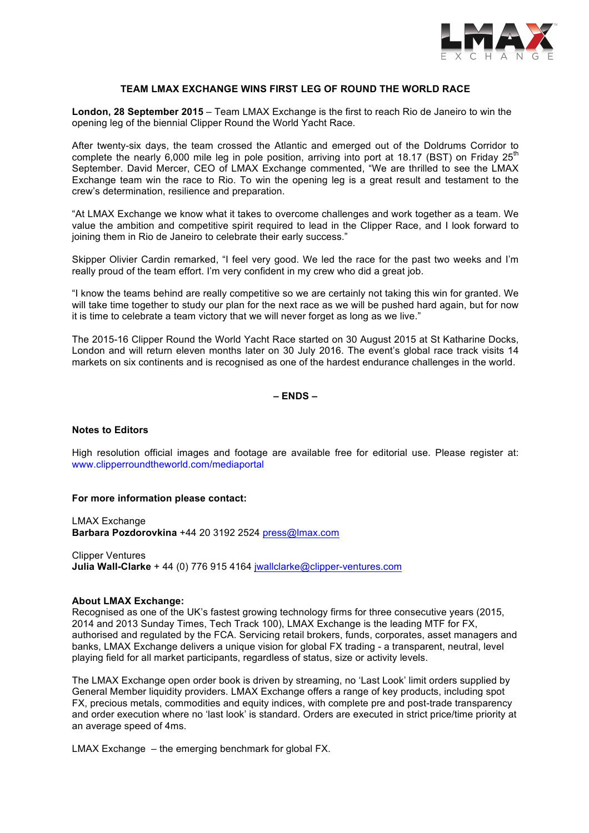

## **TEAM LMAX EXCHANGE WINS FIRST LEG OF ROUND THE WORLD RACE**

**London, 28 September 2015** – Team LMAX Exchange is the first to reach Rio de Janeiro to win the opening leg of the biennial Clipper Round the World Yacht Race.

After twenty-six days, the team crossed the Atlantic and emerged out of the Doldrums Corridor to complete the nearly 6,000 mile leg in pole position, arriving into port at 18.17 (BST) on Friday 25<sup>th</sup> September. David Mercer, CEO of LMAX Exchange commented, "We are thrilled to see the LMAX Exchange team win the race to Rio. To win the opening leg is a great result and testament to the crew's determination, resilience and preparation.

"At LMAX Exchange we know what it takes to overcome challenges and work together as a team. We value the ambition and competitive spirit required to lead in the Clipper Race, and I look forward to joining them in Rio de Janeiro to celebrate their early success."

Skipper Olivier Cardin remarked, "I feel very good. We led the race for the past two weeks and I'm really proud of the team effort. I'm very confident in my crew who did a great job.

"I know the teams behind are really competitive so we are certainly not taking this win for granted. We will take time together to study our plan for the next race as we will be pushed hard again, but for now it is time to celebrate a team victory that we will never forget as long as we live."

The 2015-16 Clipper Round the World Yacht Race started on 30 August 2015 at St Katharine Docks, London and will return eleven months later on 30 July 2016. The event's global race track visits 14 markets on six continents and is recognised as one of the hardest endurance challenges in the world.

**– ENDS –**

#### **Notes to Editors**

High resolution official images and footage are available free for editorial use. Please register at: www.clipperroundtheworld.com/mediaportal

#### **For more information please contact:**

LMAX Exchange **Barbara Pozdorovkina** +44 20 3192 2524 press@lmax.com

Clipper Ventures **Julia Wall-Clarke** + 44 (0) 776 915 4164 jwallclarke@clipper-ventures.com

#### **About LMAX Exchange:**

Recognised as one of the UK's fastest growing technology firms for three consecutive years (2015, 2014 and 2013 Sunday Times, Tech Track 100), LMAX Exchange is the leading MTF for FX, authorised and regulated by the FCA. Servicing retail brokers, funds, corporates, asset managers and banks, LMAX Exchange delivers a unique vision for global FX trading - a transparent, neutral, level playing field for all market participants, regardless of status, size or activity levels.

The LMAX Exchange open order book is driven by streaming, no 'Last Look' limit orders supplied by General Member liquidity providers. LMAX Exchange offers a range of key products, including spot FX, precious metals, commodities and equity indices, with complete pre and post-trade transparency and order execution where no 'last look' is standard. Orders are executed in strict price/time priority at an average speed of 4ms.

LMAX Exchange – the emerging benchmark for global FX.